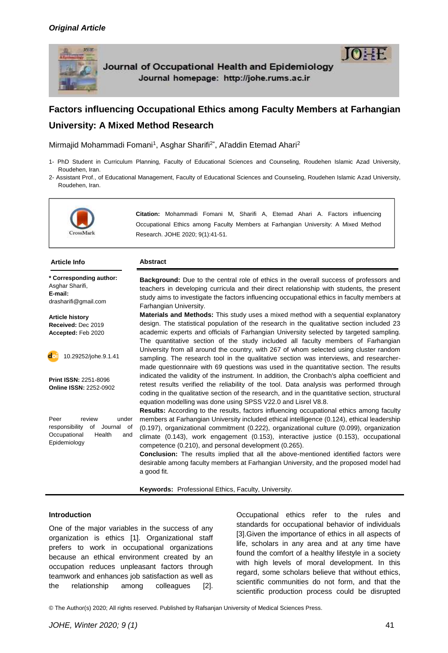

Journal of Occupational Health and Epidemiology Journal homepage: http://johe.rums.ac.ir

# **Factors influencing Occupational Ethics among Faculty Members at Farhangian University: A Mixed Method Research**

Mirmajid Mohammadi Fomani<sup>1</sup>, Asghar Sharifi<sup>2\*</sup>, Al'addin Etemad Ahari<sup>2</sup>

- 1- PhD Student in Curriculum Planning, Faculty of Educational Sciences and Counseling, Roudehen Islamic Azad University, Roudehen, Iran.
- 2- Assistant Prof., of Educational Management, Faculty of Educational Sciences and Counseling, Roudehen Islamic Azad University, Roudehen, Iran.



**Citation:** Mohammadi Fomani M, Sharifi A, Etemad Ahari A. Factors influencing Occupational Ethics among Faculty Members at Farhangian University: A Mixed Method Research. JOHE 2020; 9(1):41-51.

### **Article Info Abstract**

**\* Corresponding author:** Asghar Sharifi. **E-mail:**  drasharifi@gmail.com

**Article history Received:** Dec 2019 **Accepted:** Feb 2020



10.29252/johe.9.1.41

**Print ISSN:** 2251-8096 **Online ISSN:** 2252-0902

Peer review under responsibility of Journal of Occupational Health and Epidemiology

**Background:** Due to the central role of ethics in the overall success of professors and teachers in developing curricula and their direct relationship with students, the present study aims to investigate the factors influencing occupational ethics in faculty members at Farhangian University.

**Materials and Methods:** This study uses a mixed method with a sequential explanatory design. The statistical population of the research in the qualitative section included 23 academic experts and officials of Farhangian University selected by targeted sampling. The quantitative section of the study included all faculty members of Farhangian University from all around the country, with 267 of whom selected using cluster random sampling. The research tool in the qualitative section was interviews, and researchermade questionnaire with 69 questions was used in the quantitative section. The results indicated the validity of the instrument. In addition, the Cronbach's alpha coefficient and retest results verified the reliability of the tool. Data analysis was performed through coding in the qualitative section of the research, and in the quantitative section, structural equation modelling was done using SPSS V22.0 and Lisrel V8.8.

**Results:** According to the results, factors influencing occupational ethics among faculty members at Farhangian University included ethical intelligence (0.124), ethical leadership (0.197), organizational commitment (0.222), organizational culture (0.099), organization climate (0.143), work engagement (0.153), interactive justice (0.153), occupational competence (0.210), and personal development (0.265).

**Conclusion:** The results implied that all the above-mentioned identified factors were desirable among faculty members at Farhangian University, and the proposed model had a good fit.

**Keywords:** Professional [Ethics,](https://www.ncbi.nlm.nih.gov/mesh/68004995) Faculty, University.

### **Introduction**

One of the major variables in the success of any organization is ethics [1]. Organizational staff prefers to work in occupational organizations because an ethical environment created by an occupation reduces unpleasant factors through teamwork and enhances job satisfaction as well as the relationship among colleagues [2].

Occupational ethics refer to the rules and standards for occupational behavior of individuals [3].Given the importance of ethics in all aspects of life, scholars in any area and at any time have found the comfort of a healthy lifestyle in a society with high levels of moral development. In this regard, some scholars believe that without ethics, scientific communities do not form, and that the scientific production process could be disrupted

© The Author(s) 2020; All rights reserved. Published by Rafsanjan University of Medical Sciences Press.

**TOHE**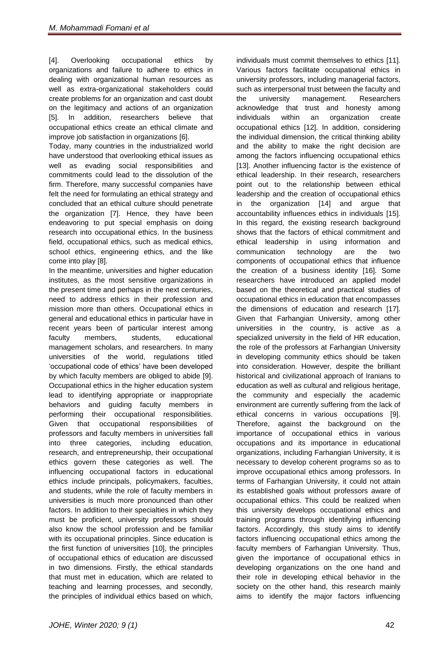[4]. Overlooking occupational ethics by organizations and failure to adhere to ethics in dealing with organizational human resources as well as extra-organizational stakeholders could create problems for an organization and cast doubt on the legitimacy and actions of an organization [5]. In addition, researchers believe that occupational ethics create an ethical climate and improve job satisfaction in organizations [6].

Today, many countries in the industrialized world have understood that overlooking ethical issues as well as evading social responsibilities and commitments could lead to the dissolution of the firm. Therefore, many successful companies have felt the need for formulating an ethical strategy and concluded that an ethical culture should penetrate the organization [7]. Hence, they have been endeavoring to put special emphasis on doing research into occupational ethics. In the business field, occupational ethics, such as medical ethics, school ethics, engineering ethics, and the like come into play [8].

In the meantime, universities and higher education institutes, as the most sensitive organizations in the present time and perhaps in the next centuries, need to address ethics in their profession and mission more than others. Occupational ethics in general and educational ethics in particular have in recent years been of particular interest among faculty members, students, educational management scholars, and researchers. In many universities of the world, regulations titled 'occupational code of ethics' have been developed by which faculty members are obliged to abide [9]. Occupational ethics in the higher education system lead to identifying appropriate or inappropriate behaviors and guiding faculty members in performing their occupational responsibilities. Given that occupational responsibilities of professors and faculty members in universities fall into three categories, including education, research, and entrepreneurship, their occupational ethics govern these categories as well. The influencing occupational factors in educational ethics include principals, policymakers, faculties, and students, while the role of faculty members in universities is much more pronounced than other factors. In addition to their specialties in which they must be proficient, university professors should also know the school profession and be familiar with its occupational principles. Since education is the first function of universities [10], the principles of occupational ethics of education are discussed in two dimensions. Firstly, the ethical standards that must met in education, which are related to teaching and learning processes, and secondly, the principles of individual ethics based on which,

Various factors facilitate occupational ethics in university professors, including managerial factors, such as interpersonal trust between the faculty and the university management. Researchers acknowledge that trust and honesty among individuals within an organization create occupational ethics [12]. In addition, considering the individual dimension, the critical thinking ability and the ability to make the right decision are among the factors influencing occupational ethics [13]. Another influencing factor is the existence of ethical leadership. In their research, researchers point out to the relationship between ethical leadership and the creation of occupational ethics in the organization [14] and argue that accountability influences ethics in individuals [15]. In this regard, the existing research background shows that the factors of ethical commitment and ethical leadership in using information and communication technology are the two components of occupational ethics that influence the creation of a business identity [16]. Some researchers have introduced an applied model based on the theoretical and practical studies of occupational ethics in education that encompasses the dimensions of education and research [17]. Given that Farhangian University, among other universities in the country, is active as a specialized university in the field of HR education, the role of the professors at Farhangian University in developing community ethics should be taken into consideration. However, despite the brilliant historical and civilizational approach of Iranians to education as well as cultural and religious heritage, the community and especially the academic environment are currently suffering from the lack of ethical concerns in various occupations [9]. Therefore, against the background on the importance of occupational ethics in various occupations and its importance in educational organizations, including Farhangian University, it is necessary to develop coherent programs so as to improve occupational ethics among professors. In terms of Farhangian University, it could not attain its established goals without professors aware of occupational ethics. This could be realized when this university develops occupational ethics and training programs through identifying influencing factors. Accordingly, this study aims to identify factors influencing occupational ethics among the faculty members of Farhangian University. Thus, given the importance of occupational ethics in developing organizations on the one hand and their role in developing ethical behavior in the society on the other hand, this research mainly aims to identify the major factors influencing

individuals must commit themselves to ethics [11].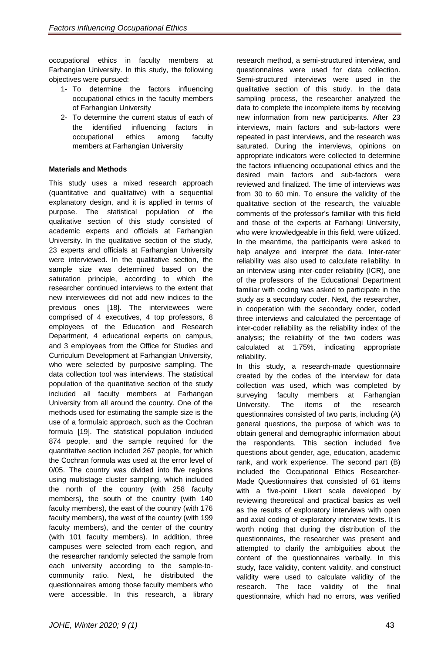occupational ethics in faculty members at Farhangian University. In this study, the following objectives were pursued:

- 1- To determine the factors influencing occupational ethics in the faculty members of Farhangian University
- 2- To determine the current status of each of the identified influencing factors in occupational ethics among faculty members at Farhangian University

## **Materials and Methods**

This study uses a mixed research approach (quantitative and qualitative) with a sequential explanatory design, and it is applied in terms of purpose. The statistical population of the qualitative section of this study consisted of academic experts and officials at Farhangian University. In the qualitative section of the study, 23 experts and officials at Farhangian University were interviewed. In the qualitative section, the sample size was determined based on the saturation principle, according to which the researcher continued interviews to the extent that new interviewees did not add new indices to the previous ones [18]. The interviewees were comprised of 4 executives, 4 top professors, 8 employees of the Education and Research Department, 4 educational experts on campus, and 3 employees from the Office for Studies and Curriculum Development at Farhangian University, who were selected by purposive sampling. The data collection tool was interviews. The statistical population of the quantitative section of the study included all faculty members at Farhangan University from all around the country. One of the methods used for estimating the sample size is the use of a formulaic approach, such as the Cochran formula [19]. The statistical population included 874 people, and the sample required for the quantitative section included 267 people, for which the Cochran formula was used at the error level of 0/05. The country was divided into five regions using multistage cluster sampling, which included the north of the country (with 258 faculty members), the south of the country (with 140 faculty members), the east of the country (with 176 faculty members), the west of the country (with 199 faculty members), and the center of the country (with 101 faculty members). In addition, three campuses were selected from each region, and the researcher randomly selected the sample from each university according to the sample-tocommunity ratio. Next, he distributed the questionnaires among those faculty members who were accessible. In this research, a library

research method, a semi-structured interview, and questionnaires were used for data collection. Semi-structured interviews were used in the qualitative section of this study. In the data sampling process, the researcher analyzed the data to complete the incomplete items by receiving new information from new participants. After 23 interviews, main factors and sub-factors were repeated in past interviews, and the research was saturated. During the interviews, opinions on appropriate indicators were collected to determine the factors influencing occupational ethics and the desired main factors and sub-factors were reviewed and finalized. The time of interviews was from 30 to 60 min. To ensure the validity of the qualitative section of the research, the valuable comments of the professor's familiar with this field and those of the experts at Farhangi University, who were knowledgeable in this field, were utilized. In the meantime, the participants were asked to help analyze and interpret the data. Inter-rater reliability was also used to calculate reliability. In an interview using inter-coder reliability (ICR), one of the professors of the Educational Department familiar with coding was asked to participate in the study as a secondary coder. Next, the researcher, in cooperation with the secondary coder, coded three interviews and calculated the percentage of inter-coder reliability as the reliability index of the analysis; the reliability of the two coders was calculated at 1.75%, indicating appropriate reliability.

In this study, a research-made questionnaire created by the codes of the interview for data collection was used, which was completed by surveying faculty members at Farhangian University. The items of the research questionnaires consisted of two parts, including (A) general questions, the purpose of which was to obtain general and demographic information about the respondents. This section included five questions about gender, age, education, academic rank, and work experience. The second part (B) included the Occupational Ethics Researcher-Made Questionnaires that consisted of 61 items with a five-point Likert scale developed by reviewing theoretical and practical basics as well as the results of exploratory interviews with open and axial coding of exploratory interview texts. It is worth noting that during the distribution of the questionnaires, the researcher was present and attempted to clarify the ambiguities about the content of the questionnaires verbally. In this study, face validity, content validity, and construct validity were used to calculate validity of the research. The face validity of the final questionnaire, which had no errors, was verified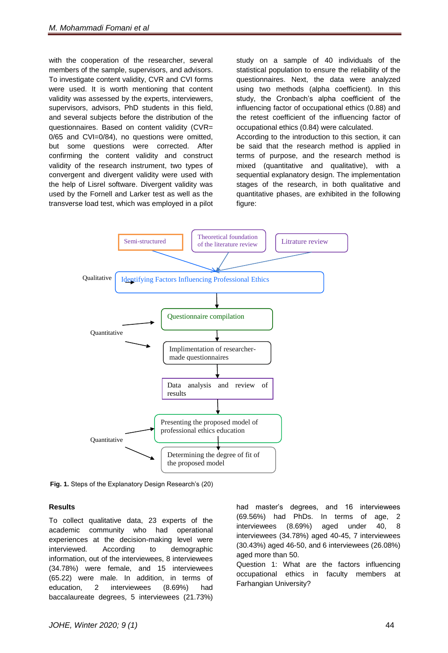with the cooperation of the researcher, several members of the sample, supervisors, and advisors. To investigate content validity, CVR and CVI forms were used. It is worth mentioning that content validity was assessed by the experts, interviewers, supervisors, advisors, PhD students in this field, and several subjects before the distribution of the questionnaires. Based on content validity (CVR= 0/65 and CVI=0/84), no questions were omitted, but some questions were corrected. After confirming the content validity and construct validity of the research instrument, two types of convergent and divergent validity were used with the help of Lisrel software. Divergent validity was used by the Fornell and Larker test as well as the transverse load test, which was employed in a pilot

study on a sample of 40 individuals of the statistical population to ensure the reliability of the questionnaires. Next, the data were analyzed using two methods (alpha coefficient). In this study, the Cronbach's alpha coefficient of the influencing factor of occupational ethics (0.88) and the retest coefficient of the influencing factor of occupational ethics (0.84) were calculated. According to the introduction to this section, it can

be said that the research method is applied in terms of purpose, and the research method is mixed (quantitative and qualitative), with a sequential explanatory design. The implementation stages of the research, in both qualitative and quantitative phases, are exhibited in the following figure:



**Fig. 1.** Steps of the Explanatory Design Research's (20)

### **Results**

To collect qualitative data, 23 experts of the academic community who had operational experiences at the decision-making level were interviewed. According to demographic information, out of the interviewees, 8 interviewees (34.78%) were female, and 15 interviewees (65.22) were male. In addition, in terms of education, 2 interviewees (8.69%) had baccalaureate degrees, 5 interviewees (21.73%)

had master's degrees, and 16 interviewees (69.56%) had PhDs. In terms of age, 2 interviewees (8.69%) aged under 40, 8 interviewees (34.78%) aged 40-45, 7 interviewees (30.43%) aged 46-50, and 6 interviewees (26.08%) aged more than 50.

Question 1: What are the factors influencing occupational ethics in faculty members at Farhangian University?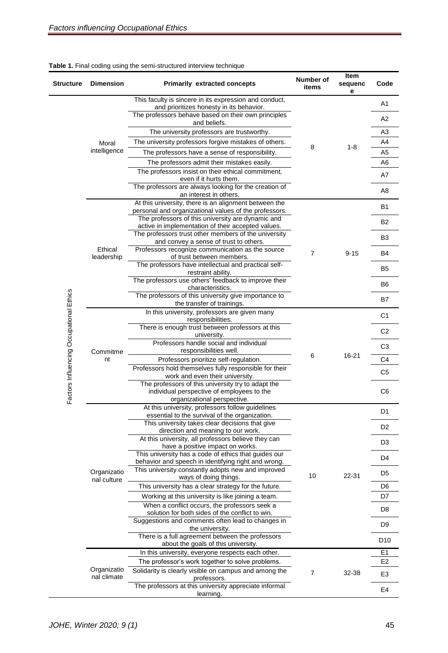| <b>Structure</b>                        | <b>Dimension</b>           | <b>Primarily extracted concepts</b>                                                                                             | Number of<br>items | Item<br>sequenc<br>е | Code            |
|-----------------------------------------|----------------------------|---------------------------------------------------------------------------------------------------------------------------------|--------------------|----------------------|-----------------|
|                                         | Moral<br>intelligence      | This faculty is sincere in its expression and conduct,<br>and prioritizes honesty in its behavior.                              |                    |                      | A <sub>1</sub>  |
|                                         |                            | The professors behave based on their own principles<br>and beliefs.                                                             |                    |                      | A2              |
|                                         |                            | The university professors are trustworthy.                                                                                      |                    | $1 - 8$              | A <sub>3</sub>  |
|                                         |                            | The university professors forgive mistakes of others.                                                                           | 8                  |                      | A4              |
|                                         |                            | The professors have a sense of responsibility.                                                                                  |                    |                      | A <sub>5</sub>  |
|                                         |                            | The professors admit their mistakes easily.                                                                                     |                    |                      | A <sub>6</sub>  |
|                                         |                            | The professors insist on their ethical commitment,<br>even if it hurts them.                                                    |                    |                      | A7              |
|                                         |                            | The professors are always looking for the creation of<br>an interest in others.                                                 |                    |                      | A <sub>8</sub>  |
|                                         | Ethical<br>leadership      | At this university, there is an alignment between the<br>personal and organizational values of the professors.                  | 7                  | $9 - 15$             | B1              |
|                                         |                            | The professors of this university are dynamic and<br>active in implementation of their accepted values.                         |                    |                      | <b>B2</b>       |
|                                         |                            | The professors trust other members of the university<br>and convey a sense of trust to others.                                  |                    |                      | B <sub>3</sub>  |
|                                         |                            | Professors recognize communication as the source<br>of trust between members.                                                   |                    |                      | B4              |
|                                         |                            | The professors have intellectual and practical self-<br>restraint ability.                                                      |                    |                      | B5              |
|                                         |                            | The professors use others' feedback to improve their<br>characteristics.                                                        |                    |                      | B <sub>6</sub>  |
|                                         |                            | The professors of this university give importance to<br>the transfer of trainings.                                              |                    |                      | B7              |
|                                         | Commitme<br>nt             | In this university, professors are given many<br>responsibilities.                                                              | 6                  | $16 - 21$            | C <sub>1</sub>  |
| Factors Influencing Occupational Ethics |                            | There is enough trust between professors at this<br>university.                                                                 |                    |                      | C <sub>2</sub>  |
|                                         |                            | Professors handle social and individual<br>responsibilities well.                                                               |                    |                      | C <sub>3</sub>  |
|                                         |                            | Professors prioritize self-regulation.                                                                                          |                    |                      | C <sub>4</sub>  |
|                                         |                            | Professors hold themselves fully responsible for their<br>work and even their university.                                       |                    |                      | C <sub>5</sub>  |
|                                         |                            | The professors of this university try to adapt the<br>individual perspective of employees to the<br>organizational perspective. |                    |                      | C <sub>6</sub>  |
|                                         | Organizatio<br>nal culture | At this university, professors follow guidelines<br>essential to the survival of the organization.                              |                    | 22-31                | D <sub>1</sub>  |
|                                         |                            | This university takes clear decisions that give<br>direction and meaning to our work.                                           |                    |                      | D <sub>2</sub>  |
|                                         |                            | At this university, all professors believe they can<br>have a positive impact on works.                                         | 10                 |                      | D <sub>3</sub>  |
|                                         |                            | This university has a code of ethics that guides our<br>behavior and speech in identifying right and wrong.                     |                    |                      | D <sub>4</sub>  |
|                                         |                            | This university constantly adopts new and improved<br>ways of doing things.                                                     |                    |                      | D <sub>5</sub>  |
|                                         |                            | This university has a clear strategy for the future.                                                                            |                    |                      | D <sub>6</sub>  |
|                                         |                            | Working at this university is like joining a team.                                                                              |                    |                      | D7              |
|                                         |                            | When a conflict occurs, the professors seek a<br>solution for both sides of the conflict to win.                                |                    |                      | D <sub>8</sub>  |
|                                         |                            | Suggestions and comments often lead to changes in<br>the university.                                                            |                    |                      | D <sub>9</sub>  |
|                                         |                            | There is a full agreement between the professors<br>about the goals of this university.                                         |                    |                      | D <sub>10</sub> |
|                                         |                            | In this university, everyone respects each other.                                                                               |                    | 32-38                | E <sub>1</sub>  |
|                                         |                            | The professor's work together to solve problems.                                                                                |                    |                      | E <sub>2</sub>  |
|                                         | Organizatio<br>nal climate | Solidarity is clearly visible on campus and among the<br>professors.                                                            | $\overline{7}$     |                      | E <sub>3</sub>  |
|                                         |                            | The professors at this university appreciate informal<br>learning.                                                              |                    |                      | E <sub>4</sub>  |

# **Table 1.** Final coding using the semi-structured interview technique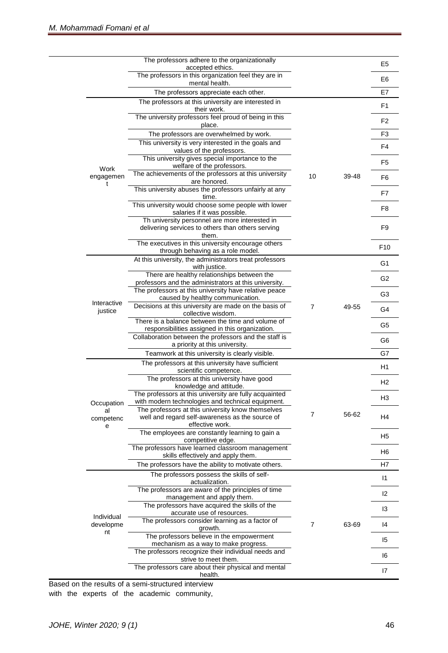|                               | The professors adhere to the organizationally                                                               |                |       | E <sub>5</sub> |
|-------------------------------|-------------------------------------------------------------------------------------------------------------|----------------|-------|----------------|
|                               | accepted ethics.                                                                                            |                |       |                |
|                               | The professors in this organization feel they are in<br>mental health.                                      |                |       | E <sub>6</sub> |
|                               | The professors appreciate each other.                                                                       |                |       | E7             |
|                               | The professors at this university are interested in<br>their work.                                          |                |       | F1             |
|                               | The university professors feel proud of being in this<br>place.                                             |                |       | F <sub>2</sub> |
|                               | The professors are overwhelmed by work.                                                                     |                |       | F <sub>3</sub> |
| Work<br>engagemen<br>t        | This university is very interested in the goals and<br>values of the professors.                            |                |       | F4             |
|                               | This university gives special importance to the<br>welfare of the professors.                               |                | 39-48 | F <sub>5</sub> |
|                               | The achievements of the professors at this university<br>are honored.                                       | 10             |       | F <sub>6</sub> |
|                               | This university abuses the professors unfairly at any<br>time.                                              |                |       | F7             |
|                               | This university would choose some people with lower                                                         |                |       | F8             |
|                               | salaries if it was possible.<br>Th university personnel are more interested in                              |                |       |                |
|                               | delivering services to others than others serving<br>them.                                                  |                |       | F <sub>9</sub> |
|                               | The executives in this university encourage others<br>through behaving as a role model.                     |                |       | F10            |
|                               | At this university, the administrators treat professors<br>with justice.                                    |                |       | G <sub>1</sub> |
|                               | There are healthy relationships between the<br>professors and the administrators at this university.        |                |       | G <sub>2</sub> |
|                               | The professors at this university have relative peace<br>caused by healthy communication.                   | $\overline{7}$ | 49-55 | G <sub>3</sub> |
| Interactive<br>justice        | Decisions at this university are made on the basis of<br>collective wisdom.                                 |                |       | G4             |
|                               | There is a balance between the time and volume of<br>responsibilities assigned in this organization.        |                |       | G <sub>5</sub> |
|                               | Collaboration between the professors and the staff is<br>a priority at this university.                     |                |       | G <sub>6</sub> |
|                               | Teamwork at this university is clearly visible.                                                             |                |       | G7             |
|                               | The professors at this university have sufficient                                                           |                |       | H1             |
|                               | scientific competence.<br>The professors at this university have good                                       |                |       |                |
|                               | knowledge and attitude.                                                                                     |                |       | H <sub>2</sub> |
|                               | The professors at this university are fully acquainted<br>with modern technologies and technical equipment. |                |       | H <sub>3</sub> |
| Occupation<br>al<br>competenc | The professors at this university know themselves<br>well and regard self-awareness as the source of        | 7              | 56-62 | H4             |
| е                             | effective work.<br>The employees are constantly learning to gain a                                          |                |       | H <sub>5</sub> |
|                               | competitive edge.<br>The professors have learned classroom management                                       |                |       | H <sub>6</sub> |
|                               | skills effectively and apply them.<br>The professors have the ability to motivate others.                   |                |       | H <sub>7</sub> |
|                               | The professors possess the skills of self-<br>actualization.                                                |                |       | $\vert$ 1      |
|                               | The professors are aware of the principles of time<br>management and apply them.                            |                |       | 12             |
|                               | The professors have acquired the skills of the<br>accurate use of resources.                                |                |       | 13             |
| Individual<br>developme       | The professors consider learning as a factor of<br>growth.                                                  | $\overline{7}$ | 63-69 | 14             |
| nt                            | The professors believe in the empowerment                                                                   |                |       | 15             |
|                               | mechanism as a way to make progress.<br>The professors recognize their individual needs and                 |                |       | 16             |
|                               | strive to meet them.<br>The professors care about their physical and mental<br>health.                      |                |       | 17             |

Based on the results of a semi-structured interview with the experts of the academic community,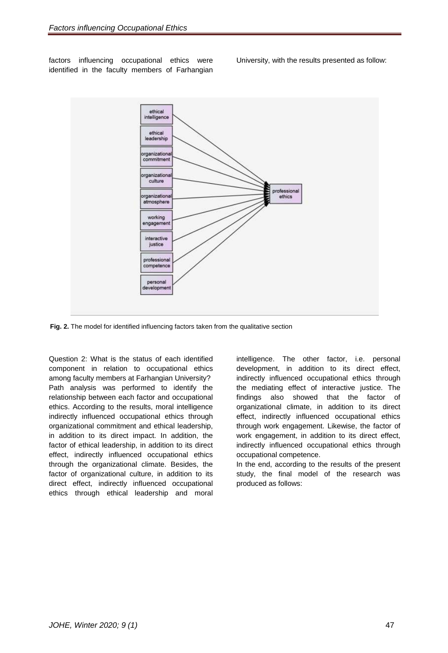factors influencing occupational ethics were identified in the faculty members of Farhangian University, with the results presented as follow:



**Fig. 2.** The model for identified influencing factors taken from the qualitative section

Question 2: What is the status of each identified component in relation to occupational ethics among faculty members at Farhangian University? Path analysis was performed to identify the relationship between each factor and occupational ethics. According to the results, moral intelligence indirectly influenced occupational ethics through organizational commitment and ethical leadership, in addition to its direct impact. In addition, the factor of ethical leadership, in addition to its direct effect, indirectly influenced occupational ethics through the organizational climate. Besides, the factor of organizational culture, in addition to its direct effect, indirectly influenced occupational ethics through ethical leadership and moral

intelligence. The other factor, i.e. personal development, in addition to its direct effect, indirectly influenced occupational ethics through the mediating effect of interactive justice. The findings also showed that the factor of organizational climate, in addition to its direct effect, indirectly influenced occupational ethics through work engagement. Likewise, the factor of work engagement, in addition to its direct effect, indirectly influenced occupational ethics through occupational competence.

In the end, according to the results of the present study, the final model of the research was produced as follows: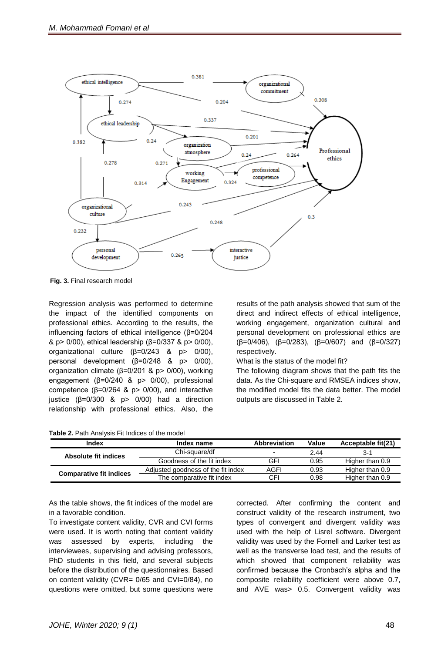

**Fig. 3.** Final research model

Regression analysis was performed to determine the impact of the identified components on professional ethics. According to the results, the influencing factors of ethical intelligence (β=0/204 & p> 0/00), ethical leadership (β=0/337 & p> 0/00), organizational culture (β=0/243 & p> 0/00), personal development (β=0/248 & p> 0/00), organization climate (β=0/201 & p> 0/00), working engagement (β=0/240 & p> 0/00), professional competence ( $β=0/264$  &  $p>0/00$ ), and interactive justice (β=0/300 & p> 0/00) had a direction relationship with professional ethics. Also, the

direct and indirect effects of ethical intelligence, working engagement, organization cultural and personal development on professional ethics are ( $\beta$ =0/406), ( $\beta$ =0/283), ( $\beta$ =0/607) and ( $\beta$ =0/327) respectively. What is the status of the model fit?

results of the path analysis showed that sum of the

The following diagram shows that the path fits the

data. As the Chi-square and RMSEA indices show, the modified model fits the data better. The model outputs are discussed in Table 2.

| Index                          | Index name                         | <b>Abbreviation</b> | Value<br>Acceptable fit(21) |                 |
|--------------------------------|------------------------------------|---------------------|-----------------------------|-----------------|
| Absolute fit indices           | Chi-square/df                      |                     | 2.44                        | 3-1             |
|                                | Goodness of the fit index          | GFI                 | 0.95                        | Higher than 0.9 |
|                                | Adjusted goodness of the fit index | AGFI                | 0.93                        | Higher than 0.9 |
| <b>Comparative fit indices</b> | The comparative fit index          | CFI                 | 0.98                        | Higher than 0.9 |

As the table shows, the fit indices of the model are in a favorable condition.

To investigate content validity, CVR and CVI forms were used. It is worth noting that content validity was assessed by experts, including the interviewees, supervising and advising professors, PhD students in this field, and several subjects before the distribution of the questionnaires. Based on content validity (CVR= 0/65 and CVI=0/84), no questions were omitted, but some questions were

corrected. After confirming the content and construct validity of the research instrument, two types of convergent and divergent validity was used with the help of Lisrel software. Divergent validity was used by the Fornell and Larker test as well as the transverse load test, and the results of which showed that component reliability was confirmed because the Cronbach's alpha and the composite reliability coefficient were above 0.7, and AVE was> 0.5. Convergent validity was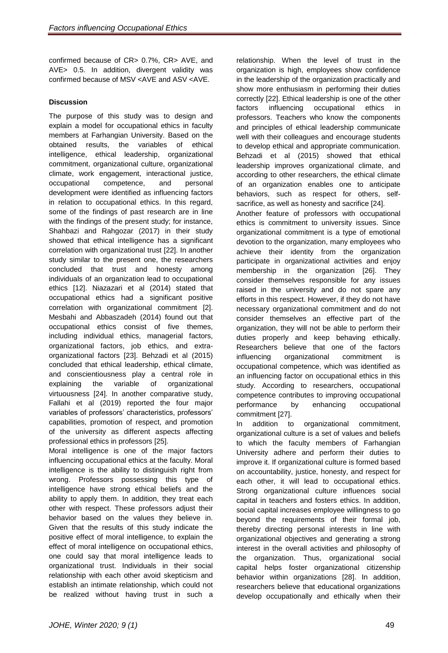confirmed because of CR> 0.7%, CR> AVE, and AVE> 0.5. In addition, divergent validity was confirmed because of MSV <AVE and ASV <AVE.

# **Discussion**

The purpose of this study was to design and explain a model for occupational ethics in faculty members at Farhangian University. Based on the obtained results, the variables of ethical intelligence, ethical leadership, organizational commitment, organizational culture, organizational climate, work engagement, interactional justice, occupational competence, and personal development were identified as influencing factors in relation to occupational ethics. In this regard, some of the findings of past research are in line with the findings of the present study; for instance, Shahbazi and Rahgozar (2017) in their study showed that ethical intelligence has a significant correlation with organizational trust [22]. In another study similar to the present one, the researchers concluded that trust and honesty among individuals of an organization lead to occupational ethics [12]. Niazazari et al (2014) stated that occupational ethics had a significant positive correlation with organizational commitment [2]. Mesbahi and Abbaszadeh (2014) found out that occupational ethics consist of five themes, including individual ethics, managerial factors, organizational factors, job ethics, and extraorganizational factors [23]. Behzadi et al (2015) concluded that ethical leadership, ethical climate, and conscientiousness play a central role in explaining the variable of organizational virtuousness [24]. In another comparative study, Fallahi et al (2019) reported the four major variables of professors' characteristics, professors' capabilities, promotion of respect, and promotion of the university as different aspects affecting professional ethics in professors [25].

Moral intelligence is one of the major factors influencing occupational ethics at the faculty. Moral intelligence is the ability to distinguish right from wrong. Professors possessing this type of intelligence have strong ethical beliefs and the ability to apply them. In addition, they treat each other with respect. These professors adjust their behavior based on the values they believe in. Given that the results of this study indicate the positive effect of moral intelligence, to explain the effect of moral intelligence on occupational ethics, one could say that moral intelligence leads to organizational trust. Individuals in their social relationship with each other avoid skepticism and establish an intimate relationship, which could not be realized without having trust in such a

relationship. When the level of trust in the organization is high, employees show confidence in the leadership of the organization practically and show more enthusiasm in performing their duties correctly [22]. Ethical leadership is one of the other factors influencing occupational ethics in professors. Teachers who know the components and principles of ethical leadership communicate well with their colleagues and encourage students to develop ethical and appropriate communication. Behzadi et al (2015) showed that ethical leadership improves organizational climate, and according to other researchers, the ethical climate of an organization enables one to anticipate behaviors, such as respect for others, selfsacrifice, as well as honesty and sacrifice [24].

Another feature of professors with occupational ethics is commitment to university issues. Since organizational commitment is a type of emotional devotion to the organization, many employees who achieve their identity from the organization participate in organizational activities and enjoy membership in the organization [26]. They consider themselves responsible for any issues raised in the university and do not spare any efforts in this respect. However, if they do not have necessary organizational commitment and do not consider themselves an effective part of the organization, they will not be able to perform their duties properly and keep behaving ethically. Researchers believe that one of the factors influencing organizational commitment is occupational competence, which was identified as an influencing factor on occupational ethics in this study. According to researchers, occupational competence contributes to improving occupational performance by enhancing occupational commitment [27].

In addition to organizational commitment, organizational culture is a set of values and beliefs to which the faculty members of Farhangian University adhere and perform their duties to improve it. If organizational culture is formed based on accountability, justice, honesty, and respect for each other, it will lead to occupational ethics. Strong organizational culture influences social capital in teachers and fosters ethics. In addition, social capital increases employee willingness to go beyond the requirements of their formal job, thereby directing personal interests in line with organizational objectives and generating a strong interest in the overall activities and philosophy of the organization. Thus, organizational social capital helps foster organizational citizenship behavior within organizations [28]. In addition, researchers believe that educational organizations develop occupationally and ethically when their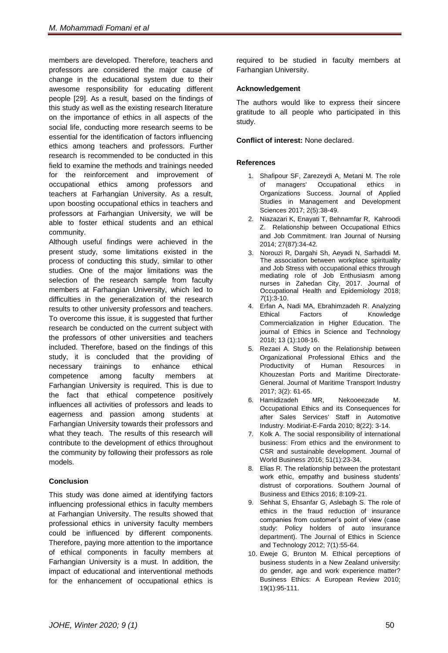members are developed. Therefore, teachers and professors are considered the major cause of change in the educational system due to their awesome responsibility for educating different people [29]. As a result, based on the findings of this study as well as the existing research literature on the importance of ethics in all aspects of the social life, conducting more research seems to be essential for the identification of factors influencing ethics among teachers and professors. Further research is recommended to be conducted in this field to examine the methods and trainings needed for the reinforcement and improvement of occupational ethics among professors and teachers at Farhangian University. As a result, upon boosting occupational ethics in teachers and professors at Farhangian University, we will be able to foster ethical students and an ethical community.

Although useful findings were achieved in the present study, some limitations existed in the process of conducting this study, similar to other studies. One of the major limitations was the selection of the research sample from faculty members at Farhangian University, which led to difficulties in the generalization of the research results to other university professors and teachers. To overcome this issue, it is suggested that further research be conducted on the current subject with the professors of other universities and teachers included. Therefore, based on the findings of this study, it is concluded that the providing of necessary trainings to enhance ethical competence among faculty members at Farhangian University is required. This is due to the fact that ethical competence positively influences all activities of professors and leads to eagerness and passion among students at Farhangian University towards their professors and what they teach. The results of this research will contribute to the development of ethics throughout the community by following their professors as role models.

### **Conclusion**

This study was done aimed at identifying factors influencing professional ethics in faculty members at Farhangian University. The results showed that professional ethics in university faculty members could be influenced by different components. Therefore, paying more attention to the importance of ethical components in faculty members at Farhangian University is a must. In addition, the impact of educational and interventional methods for the enhancement of occupational ethics is required to be studied in faculty members at Farhangian University.

### **Acknowledgement**

The authors would like to express their sincere gratitude to all people who participated in this study.

**Conflict of interest:** None declared.

### **References**

- 1. Shafipour SF, Zarezeydi A, Metani M. The role of managers' Occupational ethics in Organizations Success. Journal of Applied Studies in Management and Development Sciences 2017; 2(5):38-49.
- 2. Niazazari K, Enayati T, Behnamfar R, Kahroodi Z. Relationship between Occupational Ethics and Job Commitment. Iran Journal of Nursing 2014; 27(87):34-42.
- 3. Norouzi R, Dargahi Sh, Aeyadi N, Sarhaddi M. The association between workplace spirituality and Job Stress with occupational ethics through mediating role of Job Enthusiasm among nurses in Zahedan City, 2017. Journal of Occupational Health and Epidemiology 2018; *7*(1):3-10.
- 4. Erfan A, Nadi MA, Ebrahimzadeh R. Analyzing Ethical Factors of Knowledge Commercialization in Higher Education. The journal of Ethics in Science and Technology 2018; 13 (1):108-16.
- 5. Rezaei A. Study on the Relationship between Organizational Professional Ethics and the Productivity of Human Resources in Khouzestan Ports and Maritime Directorate-General. Journal of Maritime Transport Industry 2017; 3(2): 61-65.
- 6. Hamidizadeh MR, Nekooeezade M. Occupational Ethics and its Consequences for after Sales Services' Staff in Automotive Industry. Modiriat-E-Farda 2010; 8(22): 3-14.
- 7. Kolk A. The social responsibility of international business: From ethics and the environment to CSR and sustainable development. Journal of World Business 2016; 51(1):23-34.
- 8. Elias R. The relationship between the protestant work ethic, empathy and business students' distrust of corporations. Southern Journal of Business and Ethics 2016; 8:109-21.
- 9. Sehhat S, Ehsanfar G, Aslebagh S. The role of ethics in the fraud reduction of insurance companies from customer's point of view (case study: Policy holders of auto insurance department). The Journal of Ethics in Science and Technology 2012; 7(1):55-64.
- 10. Eweje G, Brunton M. Ethical perceptions of business students in a New Zealand university: do gender, age and work experience matter? Business Ethics: A European Review 2010; 19(1):95-111.